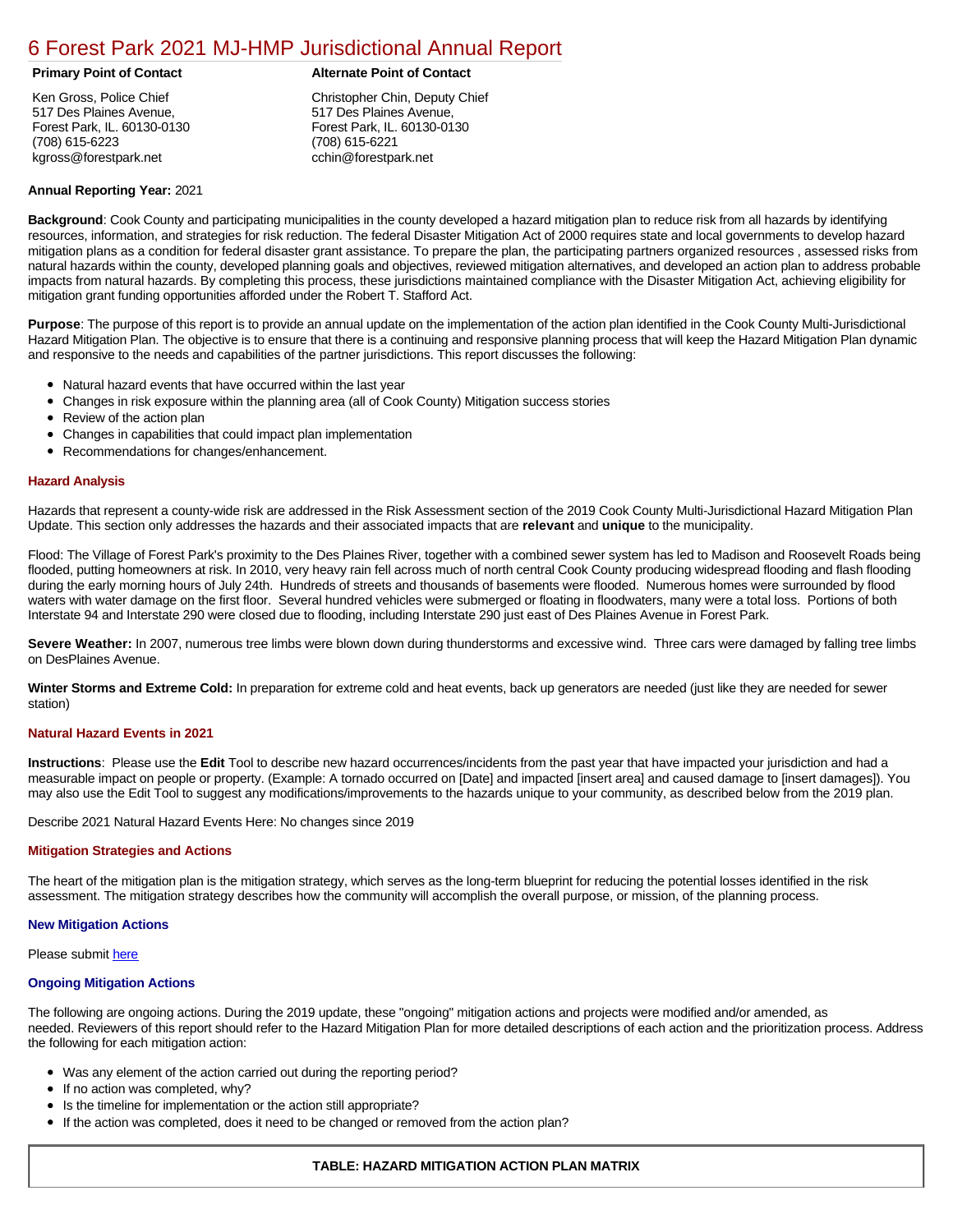# [6 Forest Park 2021 MJ-HMP Jurisdictional Annual Report](https://forestpark.isc-cemp.com/Cemp/Details?id=8322737)

Ken Gross, Police Chief 517 Des Plaines Avenue, Forest Park, IL. 60130-0130 (708) 615-6223 kgross@forestpark.net

# **Primary Point of Contact Alternate Point of Contact**

Christopher Chin, Deputy Chief 517 Des Plaines Avenue, Forest Park, IL. 60130-0130 (708) 615-6221 cchin@forestpark.net

#### **Annual Reporting Year:** 2021

**Background**: Cook County and participating municipalities in the county developed a hazard mitigation plan to reduce risk from all hazards by identifying resources, information, and strategies for risk reduction. The federal Disaster Mitigation Act of 2000 requires state and local governments to develop hazard mitigation plans as a condition for federal disaster grant assistance. To prepare the plan, the participating partners organized resources , assessed risks from natural hazards within the county, developed planning goals and objectives, reviewed mitigation alternatives, and developed an action plan to address probable impacts from natural hazards. By completing this process, these jurisdictions maintained compliance with the Disaster Mitigation Act, achieving eligibility for mitigation grant funding opportunities afforded under the Robert T. Stafford Act.

**Purpose**: The purpose of this report is to provide an annual update on the implementation of the action plan identified in the Cook County Multi-Jurisdictional Hazard Mitigation Plan. The objective is to ensure that there is a continuing and responsive planning process that will keep the Hazard Mitigation Plan dynamic and responsive to the needs and capabilities of the partner jurisdictions. This report discusses the following:

- Natural hazard events that have occurred within the last year
- $\bullet$ Changes in risk exposure within the planning area (all of Cook County) Mitigation success stories
- Review of the action plan  $\bullet$
- $\bullet$ Changes in capabilities that could impact plan implementation
- Recommendations for changes/enhancement.  $\bullet$

#### **Hazard Analysis**

Hazards that represent a county-wide risk are addressed in the Risk Assessment section of the 2019 Cook County Multi-Jurisdictional Hazard Mitigation Plan Update. This section only addresses the hazards and their associated impacts that are **relevant** and **unique** to the municipality.

Flood: The Village of Forest Park's proximity to the Des Plaines River, together with a combined sewer system has led to Madison and Roosevelt Roads being flooded, putting homeowners at risk. In 2010, very heavy rain fell across much of north central Cook County producing widespread flooding and flash flooding during the early morning hours of July 24th. Hundreds of streets and thousands of basements were flooded. Numerous homes were surrounded by flood waters with water damage on the first floor. Several hundred vehicles were submerged or floating in floodwaters, many were a total loss. Portions of both Interstate 94 and Interstate 290 were closed due to flooding, including Interstate 290 just east of Des Plaines Avenue in Forest Park.

Severe Weather: In 2007, numerous tree limbs were blown down during thunderstorms and excessive wind. Three cars were damaged by falling tree limbs on DesPlaines Avenue.

**Winter Storms and Extreme Cold:** In preparation for extreme cold and heat events, back up generators are needed (just like they are needed for sewer station)

## **Natural Hazard Events in 2021**

**Instructions**: Please use the **Edit** Tool to describe new hazard occurrences/incidents from the past year that have impacted your jurisdiction and had a measurable impact on people or property. (Example: A tornado occurred on [Date] and impacted [insert area] and caused damage to [insert damages]). You may also use the Edit Tool to suggest any modifications/improvements to the hazards unique to your community, as described below from the 2019 plan.

Describe 2021 Natural Hazard Events Here: No changes since 2019

## **Mitigation Strategies and Actions**

The heart of the mitigation plan is the mitigation strategy, which serves as the long-term blueprint for reducing the potential losses identified in the risk assessment. The mitigation strategy describes how the community will accomplish the overall purpose, or mission, of the planning process.

#### **New Mitigation Actions**

Please submit [here](https://integratedsolutions.wufoo.com/forms/mg21jvf0jn639o/)

## **Ongoing Mitigation Actions**

The following are ongoing actions. During the 2019 update, these "ongoing" mitigation actions and projects were modified and/or amended, as needed. Reviewers of this report should refer to the Hazard Mitigation Plan for more detailed descriptions of each action and the prioritization process. Address the following for each mitigation action:

- Was any element of the action carried out during the reporting period?
- If no action was completed, why?
- Is the timeline for implementation or the action still appropriate?
- If the action was completed, does it need to be changed or removed from the action plan?

## **TABLE: HAZARD MITIGATION ACTION PLAN MATRIX**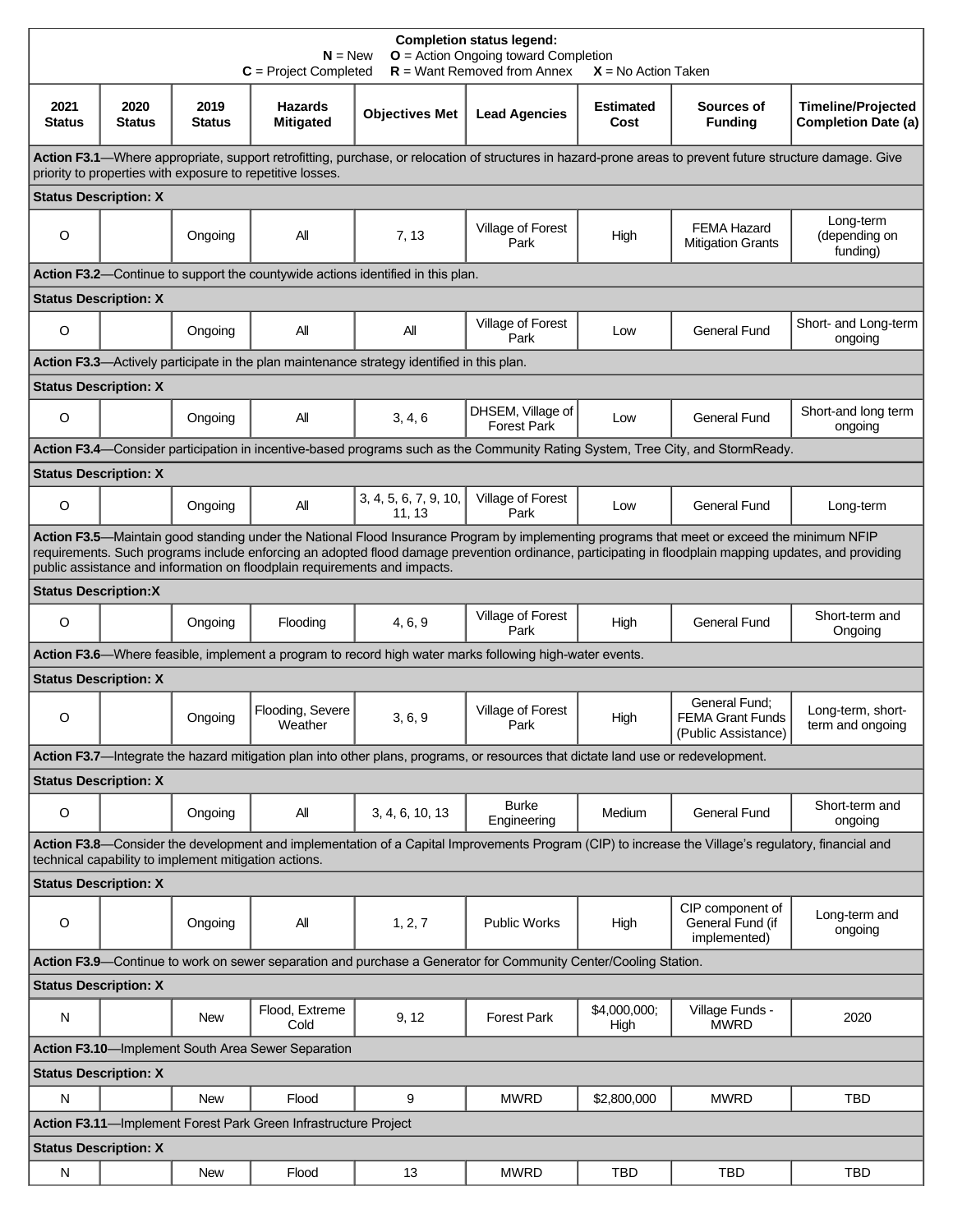| <b>Completion status legend:</b><br>$O =$ Action Ongoing toward Completion<br>$N = New$<br>$R =$ Want Removed from Annex<br>$C = Project Completed$<br>$X = No$ Action Taken                                                                                                                                                                                                       |                |                |                                    |                                                                                            |                                         |                          |                                                                 |                                                         |
|------------------------------------------------------------------------------------------------------------------------------------------------------------------------------------------------------------------------------------------------------------------------------------------------------------------------------------------------------------------------------------|----------------|----------------|------------------------------------|--------------------------------------------------------------------------------------------|-----------------------------------------|--------------------------|-----------------------------------------------------------------|---------------------------------------------------------|
| 2021<br><b>Status</b>                                                                                                                                                                                                                                                                                                                                                              | 2020<br>Status | 2019<br>Status | <b>Hazards</b><br><b>Mitigated</b> | <b>Objectives Met</b>                                                                      | <b>Lead Agencies</b>                    | <b>Estimated</b><br>Cost | Sources of<br><b>Funding</b>                                    | <b>Timeline/Projected</b><br><b>Completion Date (a)</b> |
| Action F3.1—Where appropriate, support retrofitting, purchase, or relocation of structures in hazard-prone areas to prevent future structure damage. Give<br>priority to properties with exposure to repetitive losses.                                                                                                                                                            |                |                |                                    |                                                                                            |                                         |                          |                                                                 |                                                         |
| <b>Status Description: X</b>                                                                                                                                                                                                                                                                                                                                                       |                |                |                                    |                                                                                            |                                         |                          |                                                                 |                                                         |
| O                                                                                                                                                                                                                                                                                                                                                                                  |                | Ongoing        | All                                | 7, 13                                                                                      | Village of Forest<br>Park               | High                     | <b>FEMA Hazard</b><br><b>Mitigation Grants</b>                  | Long-term<br>(depending on<br>funding)                  |
| Action F3.2—Continue to support the countywide actions identified in this plan.                                                                                                                                                                                                                                                                                                    |                |                |                                    |                                                                                            |                                         |                          |                                                                 |                                                         |
| <b>Status Description: X</b>                                                                                                                                                                                                                                                                                                                                                       |                |                |                                    |                                                                                            |                                         |                          |                                                                 |                                                         |
| $\circ$                                                                                                                                                                                                                                                                                                                                                                            |                | Ongoing        | All                                | All                                                                                        | Village of Forest<br>Park               | Low                      | <b>General Fund</b>                                             | Short- and Long-term<br>ongoing                         |
|                                                                                                                                                                                                                                                                                                                                                                                    |                |                |                                    | Action F3.3—Actively participate in the plan maintenance strategy identified in this plan. |                                         |                          |                                                                 |                                                         |
| <b>Status Description: X</b>                                                                                                                                                                                                                                                                                                                                                       |                |                |                                    |                                                                                            |                                         |                          |                                                                 |                                                         |
| O                                                                                                                                                                                                                                                                                                                                                                                  |                | Ongoing        | All                                | 3, 4, 6                                                                                    | DHSEM, Village of<br><b>Forest Park</b> | Low                      | <b>General Fund</b>                                             | Short-and long term<br>ongoing                          |
| Action F3.4—Consider participation in incentive-based programs such as the Community Rating System, Tree City, and StormReady.                                                                                                                                                                                                                                                     |                |                |                                    |                                                                                            |                                         |                          |                                                                 |                                                         |
| <b>Status Description: X</b>                                                                                                                                                                                                                                                                                                                                                       |                |                |                                    |                                                                                            |                                         |                          |                                                                 |                                                         |
| O                                                                                                                                                                                                                                                                                                                                                                                  |                | Ongoing        | All                                | 3, 4, 5, 6, 7, 9, 10,<br>11, 13                                                            | Village of Forest<br>Park               | Low                      | <b>General Fund</b>                                             | Long-term                                               |
| Action F3.5—Maintain good standing under the National Flood Insurance Program by implementing programs that meet or exceed the minimum NFIP<br>requirements. Such programs include enforcing an adopted flood damage prevention ordinance, participating in floodplain mapping updates, and providing<br>public assistance and information on floodplain requirements and impacts. |                |                |                                    |                                                                                            |                                         |                          |                                                                 |                                                         |
| <b>Status Description:X</b>                                                                                                                                                                                                                                                                                                                                                        |                |                |                                    |                                                                                            |                                         |                          |                                                                 |                                                         |
| O                                                                                                                                                                                                                                                                                                                                                                                  |                | Ongoing        | Flooding                           | 4, 6, 9                                                                                    | Village of Forest<br>Park               | High                     | <b>General Fund</b>                                             | Short-term and<br>Ongoing                               |
| Action F3.6—Where feasible, implement a program to record high water marks following high-water events.                                                                                                                                                                                                                                                                            |                |                |                                    |                                                                                            |                                         |                          |                                                                 |                                                         |
| <b>Status Description: X</b>                                                                                                                                                                                                                                                                                                                                                       |                |                |                                    |                                                                                            |                                         |                          |                                                                 |                                                         |
| O                                                                                                                                                                                                                                                                                                                                                                                  |                | Ongoing        | Flooding, Severe<br>Weather        | 3, 6, 9                                                                                    | Village of Forest<br>Park               | High                     | General Fund:<br><b>FEMA Grant Funds</b><br>(Public Assistance) | Long-term, short-<br>term and ongoing                   |
| Action F3.7-Integrate the hazard mitigation plan into other plans, programs, or resources that dictate land use or redevelopment.                                                                                                                                                                                                                                                  |                |                |                                    |                                                                                            |                                         |                          |                                                                 |                                                         |
| <b>Status Description: X</b>                                                                                                                                                                                                                                                                                                                                                       |                |                |                                    |                                                                                            |                                         |                          |                                                                 |                                                         |
| O                                                                                                                                                                                                                                                                                                                                                                                  |                | Ongoing        | All                                | 3, 4, 6, 10, 13                                                                            | <b>Burke</b><br>Engineering             | Medium                   | General Fund                                                    | Short-term and<br>ongoing                               |
| Action F3.8-Consider the development and implementation of a Capital Improvements Program (CIP) to increase the Village's regulatory, financial and<br>technical capability to implement mitigation actions.                                                                                                                                                                       |                |                |                                    |                                                                                            |                                         |                          |                                                                 |                                                         |
| <b>Status Description: X</b>                                                                                                                                                                                                                                                                                                                                                       |                |                |                                    |                                                                                            |                                         |                          |                                                                 |                                                         |
| $\circ$                                                                                                                                                                                                                                                                                                                                                                            |                | Ongoing        | All                                | 1, 2, 7                                                                                    | <b>Public Works</b>                     | High                     | CIP component of<br>General Fund (if<br>implemented)            | Long-term and<br>ongoing                                |
| Action F3.9—Continue to work on sewer separation and purchase a Generator for Community Center/Cooling Station.                                                                                                                                                                                                                                                                    |                |                |                                    |                                                                                            |                                         |                          |                                                                 |                                                         |
| <b>Status Description: X</b>                                                                                                                                                                                                                                                                                                                                                       |                |                |                                    |                                                                                            |                                         |                          |                                                                 |                                                         |
| N                                                                                                                                                                                                                                                                                                                                                                                  |                | New            | Flood, Extreme<br>Cold             | 9, 12                                                                                      | <b>Forest Park</b>                      | \$4,000,000;<br>High     | Village Funds -<br><b>MWRD</b>                                  | 2020                                                    |
| Action F3.10-Implement South Area Sewer Separation                                                                                                                                                                                                                                                                                                                                 |                |                |                                    |                                                                                            |                                         |                          |                                                                 |                                                         |
| <b>Status Description: X</b>                                                                                                                                                                                                                                                                                                                                                       |                |                |                                    |                                                                                            |                                         |                          |                                                                 |                                                         |
| N                                                                                                                                                                                                                                                                                                                                                                                  |                | New            | Flood                              | 9                                                                                          | <b>MWRD</b>                             | \$2,800,000              | <b>MWRD</b>                                                     | <b>TBD</b>                                              |
| Action F3.11-Implement Forest Park Green Infrastructure Project                                                                                                                                                                                                                                                                                                                    |                |                |                                    |                                                                                            |                                         |                          |                                                                 |                                                         |
| <b>Status Description: X</b>                                                                                                                                                                                                                                                                                                                                                       |                |                |                                    |                                                                                            |                                         |                          |                                                                 |                                                         |
| ${\sf N}$                                                                                                                                                                                                                                                                                                                                                                          |                | New            | Flood                              | 13                                                                                         | <b>MWRD</b>                             | <b>TBD</b>               | <b>TBD</b>                                                      | <b>TBD</b>                                              |